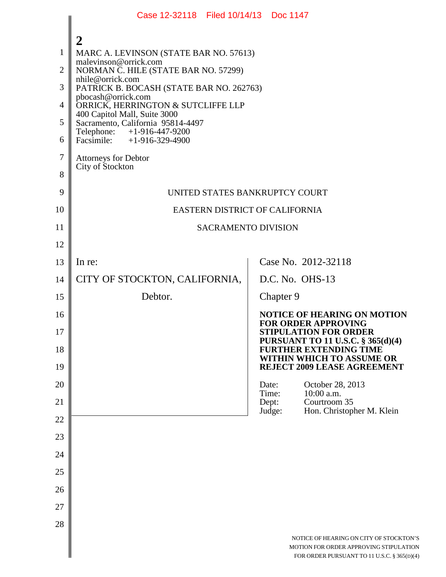|                                                                             | Case 12-32118 Filed 10/14/13 Doc 1147                                                                                                                                                                                                                                                                                                                                                                                          |                                   |                                                                                                                                                                                              |  |  |
|-----------------------------------------------------------------------------|--------------------------------------------------------------------------------------------------------------------------------------------------------------------------------------------------------------------------------------------------------------------------------------------------------------------------------------------------------------------------------------------------------------------------------|-----------------------------------|----------------------------------------------------------------------------------------------------------------------------------------------------------------------------------------------|--|--|
| $\mathbf{1}$<br>$\overline{2}$<br>3<br>4<br>5<br>6<br>$\boldsymbol{7}$<br>8 | 2<br>MARC A. LEVINSON (STATE BAR NO. 57613)<br>malevinson@orrick.com<br>NORMAN C. HILE (STATE BAR NO. 57299)<br>nhile@orrick.com<br>PATRICK B. BOCASH (STATE BAR NO. 262763)<br>pbocash@orrick.com<br>ORRICK, HERRINGTON & SUTCLIFFE LLP<br>400 Capitol Mall, Suite 3000<br>Sacramento, California 95814-4497<br>Telephone: +1-916-447-9200<br>Facsimile: $+1-916-329-4900$<br><b>Attorneys for Debtor</b><br>City of Stockton |                                   |                                                                                                                                                                                              |  |  |
| 9                                                                           | UNITED STATES BANKRUPTCY COURT                                                                                                                                                                                                                                                                                                                                                                                                 |                                   |                                                                                                                                                                                              |  |  |
| 10                                                                          | EASTERN DISTRICT OF CALIFORNIA                                                                                                                                                                                                                                                                                                                                                                                                 |                                   |                                                                                                                                                                                              |  |  |
| 11                                                                          | <b>SACRAMENTO DIVISION</b>                                                                                                                                                                                                                                                                                                                                                                                                     |                                   |                                                                                                                                                                                              |  |  |
| 12                                                                          |                                                                                                                                                                                                                                                                                                                                                                                                                                |                                   |                                                                                                                                                                                              |  |  |
| 13                                                                          | In re:                                                                                                                                                                                                                                                                                                                                                                                                                         |                                   | Case No. 2012-32118                                                                                                                                                                          |  |  |
| 14                                                                          | CITY OF STOCKTON, CALIFORNIA,                                                                                                                                                                                                                                                                                                                                                                                                  |                                   | D.C. No. OHS-13                                                                                                                                                                              |  |  |
| 15                                                                          | Debtor.                                                                                                                                                                                                                                                                                                                                                                                                                        |                                   | Chapter 9                                                                                                                                                                                    |  |  |
| 16<br>17<br>18                                                              |                                                                                                                                                                                                                                                                                                                                                                                                                                |                                   | <b>NOTICE OF HEARING ON MOTION</b><br><b>FOR ORDER APPROVING</b><br><b>STIPULATION FOR ORDER</b><br>PURSUANT TO 11 U.S.C. § 365(d)(4)<br>FURTHER EXTENDING TIME<br>WITHIN WHICH TO ASSUME OR |  |  |
| 19                                                                          |                                                                                                                                                                                                                                                                                                                                                                                                                                |                                   | REJECT 2009 LEASE AGREEMENT                                                                                                                                                                  |  |  |
| 20<br>21                                                                    |                                                                                                                                                                                                                                                                                                                                                                                                                                | Date:<br>Time:<br>Dept:<br>Judge: | October 28, 2013<br>10:00 a.m.<br>Courtroom 35<br>Hon. Christopher M. Klein                                                                                                                  |  |  |
| 22                                                                          |                                                                                                                                                                                                                                                                                                                                                                                                                                |                                   |                                                                                                                                                                                              |  |  |
| 23                                                                          |                                                                                                                                                                                                                                                                                                                                                                                                                                |                                   |                                                                                                                                                                                              |  |  |
| 24                                                                          |                                                                                                                                                                                                                                                                                                                                                                                                                                |                                   |                                                                                                                                                                                              |  |  |
| 25                                                                          |                                                                                                                                                                                                                                                                                                                                                                                                                                |                                   |                                                                                                                                                                                              |  |  |
| 26                                                                          |                                                                                                                                                                                                                                                                                                                                                                                                                                |                                   |                                                                                                                                                                                              |  |  |
| 27                                                                          |                                                                                                                                                                                                                                                                                                                                                                                                                                |                                   |                                                                                                                                                                                              |  |  |
| 28                                                                          |                                                                                                                                                                                                                                                                                                                                                                                                                                |                                   | NOTICE OF HEARING ON CITY OF STOCKTON'S<br>MOTION FOR ORDER APPROVING STIPULATION<br>FOR ORDER PURSUANT TO 11 U.S.C. § 365(D)(4)                                                             |  |  |